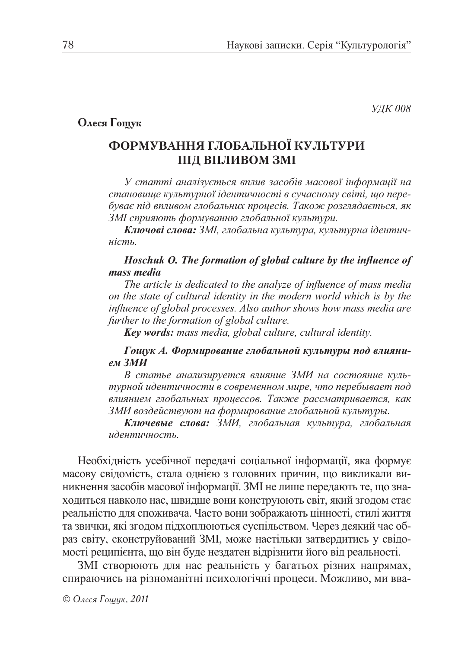**УДК 008** 

## Олеся Гощук

# ФОРМУВАННЯ ГЛОБАЛЬНОЇ КУЛЬТУРИ ПІД ВПЛИВОМ ЗМІ

У статті аналізується вплив засобів масової інформації на становище культурної ідентичності в сучасному світі, що перебуває під впливом глобальних процесів. Також розглядається, як ЗМІ сприяють формуванню глобальної культури.

Ключові слова: ЗМІ, глобальна культура, культурна ідентичність.

#### Hoschuk O. The formation of global culture by the influence of mass media

The article is dedicated to the analyze of influence of mass media on the state of cultural identity in the modern world which is by the influence of global processes. Also author shows how mass media are further to the formation of global culture.

**Key words:** mass media, global culture, cultural identity.

### Гощук А. Формирование глобальной культуры под влиянием ЗМИ

В статье анализируется влияние ЗМИ на состояние культурной идентичности в современном мире, что перебывает под влиянием глобальных процессов. Также рассматривается, как ЗМИ воздействуют на формирование глобальной культуры.

Ключевые слова: ЗМИ, глобальная культура, глобальная идентичность.

Необхідність усебічної передачі соціальної інформації, яка формує масову свідомість, стала однією з головних причин, що викликали виникнення засобів масової інформації. ЗМІ не лише передають те, що знаходиться навколо нас, швидше вони конструюють світ, який згодом стає реальністю для споживача. Часто вони зображають цінності, стилі життя та звички, які згодом підхоплюються суспільством. Через деякий час образ світу, сконструйований ЗМІ, може настільки затвердитись у свідомості реципієнта, що він буде нездатен відрізнити його від реальності.

ЗМІ створюють для нас реальність у багатьох різних напрямах, спираючись на різноманітні психологічні процеси. Можливо, ми вва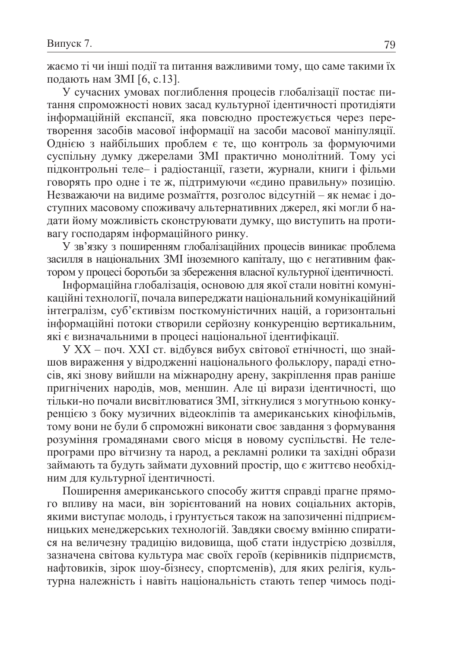жаємо ті чи інші події та питання важливими тому, що саме такими їх подають нам ЗМІ [6, с.13].

У сучасних умовах поглиблення процесів глобалізації постає питання спроможності нових засад культурної ідентичності протидіяти інформаційній експансії, яка повсюдно простежується через перетворення засобів масової інформації на засоби масової маніпуляції. Однією з найбільших проблем є те, що контроль за формуючими суспільну думку джерелами ЗМІ практично монолітний. Тому усі підконтрольні теле- і радіостанції, газети, журнали, книги і фільми говорять про одне і те ж, підтримуючи «єдино правильну» позицію. Незважаючи на видиме розмаїття, розголос відсутній - як немає і доступних масовому споживачу альтернативних джерел, які могли б надати йому можливість сконструювати думку, що виступить на противагу господарям інформаційного ринку.

У зв'язку з поширенням глобалізаційних процесів виникає проблема засилля в національних ЗМІ іноземного капіталу, що є негативним фактором у процесі боротьби за збереження власної культурної ідентичності.

Інформаційна глобалізація, основою для якої стали новітні комунікаційні технології, почала випереджати національний комунікаційний інтегралізм, суб'єктивізм посткомуністичних націй, а горизонтальні інформаційні потоки створили серйозну конкуренцію вертикальним, які є визначальними в процесі національної ідентифікації.

У XX - поч. XXI ст. відбувся вибух світової етнічності, що знайшов вираження у відродженні національного фольклору, параді етносів, які знову вийшли на міжнародну арену, закріплення прав раніше пригнічених народів, мов, меншин. Але ці вирази ідентичності, що тільки-но почали висвітлюватися ЗМІ, зіткнулися з могутньою конкуренцією з боку музичних відеокліпів та американських кінофільмів, тому вони не були б спроможні виконати своє завдання з формування розуміння громадянами свого місця в новому суспільстві. Не телепрограми про вітчизну та народ, а рекламні ролики та західні образи займають та будуть займати духовний простір, що є життєво необхідним для культурної ідентичності.

Поширення американського способу життя справді прагне прямого впливу на маси, він зорієнтований на нових соціальних акторів, якими виступає молодь, і ґрунтується також на запозиченні підприємницьких менеджерських технологій. Завдяки своєму вмінню спиратися на величезну традицію видовища, щоб стати індустрією дозвілля, зазначена світова культура має своїх героїв (керівників підприємств, нафтовиків, зірок шоу-бізнесу, спортсменів), для яких релігія, культурна належність і навіть національність стають тепер чимось поді-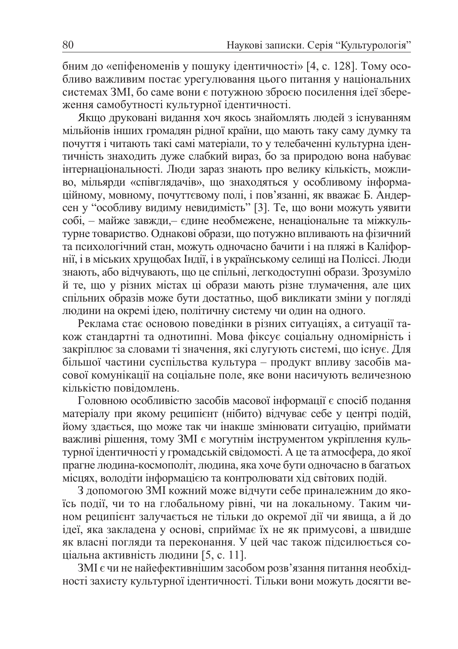бним до «епіфеноменів у пошуку ідентичності» [4, с. 128]. Тому особливо важливим постає урегулювання цього питання у національних системах ЗМІ, бо саме вони є потужною зброєю посилення ідеї збереження самобутності культурної ідентичності.

Якщо друковані видання хоч якось знайомлять людей з існуванням мільйонів інших громадян рідної країни, що мають таку саму думку та почуття і читають такі самі матеріали, то у телебаченні культурна ідентичність знаходить дуже слабкий вираз, бо за природою вона набуває інтернаціональності. Люди зараз знають про велику кількість, можливо, мільярди «співглядачів», що знаходяться у особливому інформаційному, мовному, почуттєвому полі, і пов'язанні, як вважає Б. Андерсен у "особливу видиму невидимість" [3]. Те, що вони можуть уявити собі, - майже завжди,- єдине необмежене, ненаціональне та міжкультурне товариство. Однакові образи, що потужно впливають на фізичний та психологічний стан, можуть одночасно бачити і на пляжі в Каліфорнії, і в міських хрущобах Індії, і в українському селищі на Поліссі. Люди знають, або відчувають, що це спільні, легкодоступні образи. Зрозуміло й те, що у різних містах ці образи мають різне тлумачення, але цих спільних образів може бути достатньо, щоб викликати зміни у погляді людини на окремі ідею, політичну систему чи один на одного.

Реклама стає основою поведінки в різних ситуаціях, а ситуації також стандартні та однотипні. Мова фіксує соціальну одномірність і закріплює за словами ті значення, які слугують системі, що існує. Для більшої частини суспільства культура - продукт впливу засобів масової комунікації на соціальне поле, яке вони насичують величезною кількістю повідомлень.

Головною особливістю засобів масової інформації є спосіб подання матеріалу при якому реципієнт (нібито) відчуває себе у центрі подій, йому здається, що може так чи інакше змінювати ситуацію, приймати важливі рішення, тому ЗМІ є могутнім інструментом укріплення культурної ідентичності у громадській свідомості. А це та атмосфера, до якої прагне людина-космополіт, людина, яка хоче бути одночасно в багатьох місцях, володіти інформацією та контролювати хід світових подій.

3 допомогою ЗМІ кожний може відчути себе приналежним до якоїсь події, чи то на глобальному рівні, чи на локальному. Таким чином реципієнт залучається не тільки до окремої дії чи явища, а й до ідеї, яка закладена у основі, сприймає їх не як примусові, а швидше як власні погляди та переконання. У цей час також підсилюється соціальна активність людини [5, с. 11].

ЗМІ є чи не найефективнішим засобом розв'язання питання необхідності захисту культурної ідентичності. Тільки вони можуть досягти ве